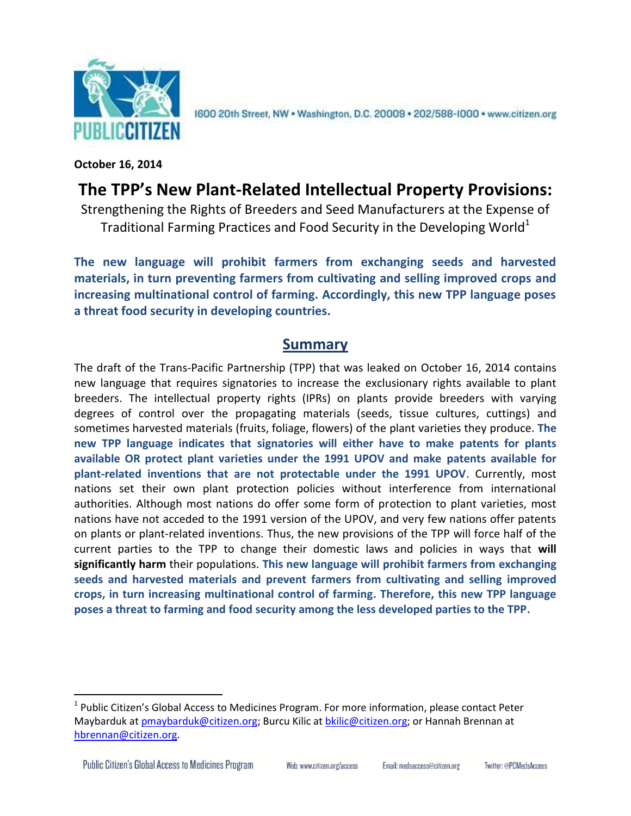

1600 20th Street, NW . Washington, D.C. 20009 . 202/588-1000 . www.citizen.org

**October 16, 2014**

# **The TPP's New Plant-Related Intellectual Property Provisions:**

Strengthening the Rights of Breeders and Seed Manufacturers at the Expense of Traditional Farming Practices and Food Security in the Developing World $1$ 

**The new language will prohibit farmers from exchanging seeds and harvested materials, in turn preventing farmers from cultivating and selling improved crops and increasing multinational control of farming. Accordingly, this new TPP language poses a threat food security in developing countries.**

## **Summary**

The draft of the Trans-Pacific Partnership (TPP) that was leaked on October 16, 2014 contains new language that requires signatories to increase the exclusionary rights available to plant breeders. The intellectual property rights (IPRs) on plants provide breeders with varying degrees of control over the propagating materials (seeds, tissue cultures, cuttings) and sometimes harvested materials (fruits, foliage, flowers) of the plant varieties they produce. **The new TPP language indicates that signatories will either have to make patents for plants available OR protect plant varieties under the 1991 UPOV and make patents available for plant-related inventions that are not protectable under the 1991 UPOV**. Currently, most nations set their own plant protection policies without interference from international authorities. Although most nations do offer some form of protection to plant varieties, most nations have not acceded to the 1991 version of the UPOV, and very few nations offer patents on plants or plant-related inventions. Thus, the new provisions of the TPP will force half of the current parties to the TPP to change their domestic laws and policies in ways that **will significantly harm** their populations. **This new language will prohibit farmers from exchanging seeds and harvested materials and prevent farmers from cultivating and selling improved crops, in turn increasing multinational control of farming. Therefore, this new TPP language poses a threat to farming and food security among the less developed parties to the TPP.**

 $\overline{\phantom{a}}$ 

Email: medsaccess@citizen.org

<sup>&</sup>lt;sup>1</sup> Public Citizen's Global Access to Medicines Program. For more information, please contact Peter Maybarduk at [pmaybarduk@citizen.org;](mailto:pmaybarduk@citizen.org) Burcu Kilic a[t bkilic@citizen.org;](mailto:bkilic@citizen.org) or Hannah Brennan at [hbrennan@citizen.org.](mailto:hbrennan@citizen.org)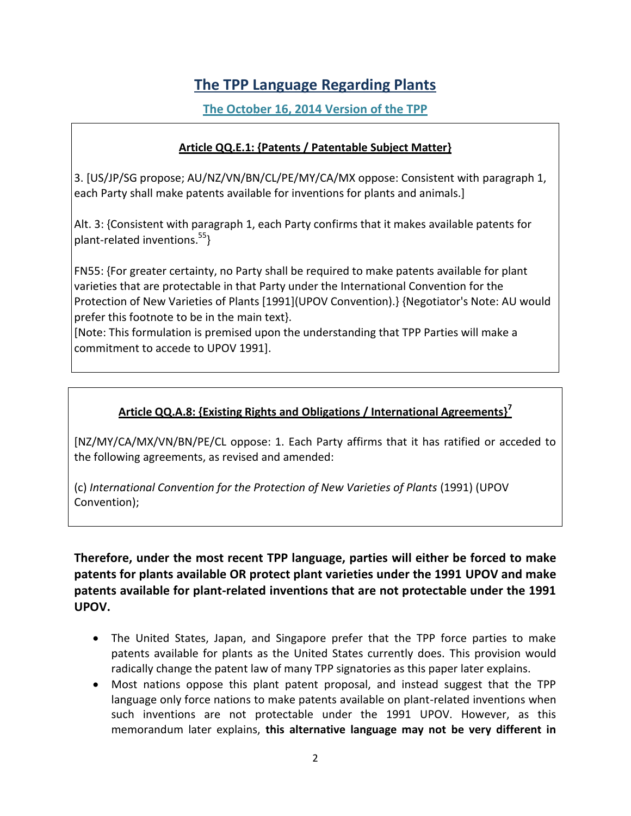## **The TPP Language Regarding Plants**

## **The October 16, 2014 Version of the TPP**

### **[Article QQ.E.1: {Patents / Patentable Subject Matter}](https://wikileaks.org/tpp-ip2/#article_e1)**

3. [US/JP/SG propose; AU/NZ/VN/BN/CL/PE/MY/CA/MX oppose: Consistent with paragraph 1, each Party shall make patents available for inventions for plants and animals.]

Alt. 3: {Consistent with paragraph 1, each Party confirms that it makes available patents for plant-related inventions.<sup>55</sup>}

FN55: {For greater certainty, no Party shall be required to make patents available for plant varieties that are protectable in that Party under the International Convention for the Protection of New Varieties of Plants [1991](UPOV Convention).} {Negotiator's Note: AU would prefer this footnote to be in the main text}.

[Note: This formulation is premised upon the understanding that TPP Parties will make a commitment to accede to UPOV 1991].

### **[Article QQ.A.8: {Existing Rights and Obligations / International Agreements}](https://wikileaks.org/tpp-ip2/#article_a8)[7](https://wikileaks.org/tpp-ip2/#article_a8)**

[NZ/MY/CA/MX/VN/BN/PE/CL oppose: 1. Each Party affirms that it has ratified or acceded to the following agreements, as revised and amended:

(c) *International Convention for the Protection of New Varieties of Plants* (1991) (UPOV Convention);

**Therefore, under the most recent TPP language, parties will either be forced to make patents for plants available OR protect plant varieties under the 1991 UPOV and make patents available for plant-related inventions that are not protectable under the 1991 UPOV.**

- The United States, Japan, and Singapore prefer that the TPP force parties to make patents available for plants as the United States currently does. This provision would radically change the patent law of many TPP signatories as this paper later explains.
- Most nations oppose this plant patent proposal, and instead suggest that the TPP language only force nations to make patents available on plant-related inventions when such inventions are not protectable under the 1991 UPOV. However, as this memorandum later explains, **this alternative language may not be very different in**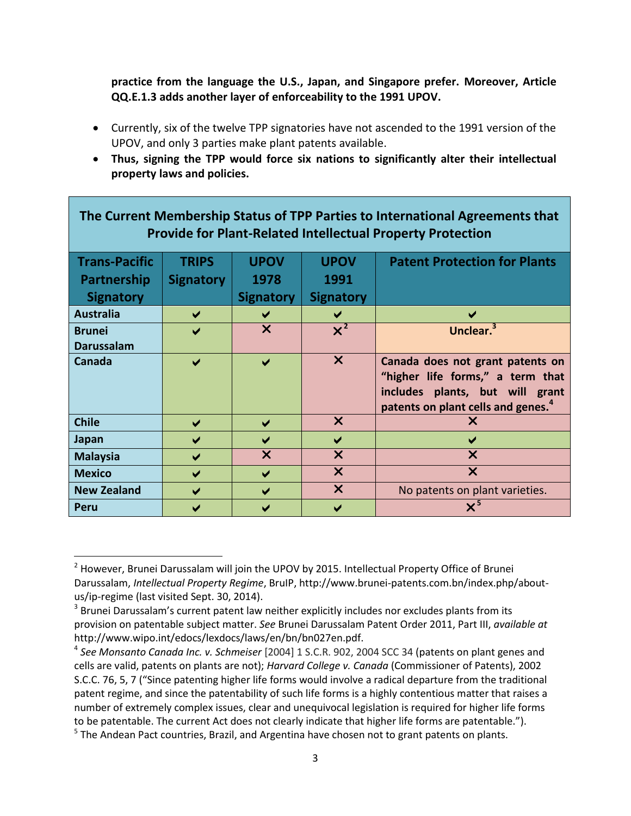**practice from the language the U.S., Japan, and Singapore prefer. Moreover, Article QQ.E.1.3 adds another layer of enforceability to the 1991 UPOV.**

- Currently, six of the twelve TPP signatories have not ascended to the 1991 version of the UPOV, and only 3 parties make plant patents available.
- **Thus, signing the TPP would force six nations to significantly alter their intellectual property laws and policies.**

| The Current Membership Status of TPP Parties to International Agreements that<br><b>Provide for Plant-Related Intellectual Property Protection</b> |                       |                           |                           |                                                                                                                                                           |  |  |  |
|----------------------------------------------------------------------------------------------------------------------------------------------------|-----------------------|---------------------------|---------------------------|-----------------------------------------------------------------------------------------------------------------------------------------------------------|--|--|--|
| <b>Trans-Pacific</b>                                                                                                                               | <b>TRIPS</b>          | <b>UPOV</b>               | <b>UPOV</b>               | <b>Patent Protection for Plants</b>                                                                                                                       |  |  |  |
| Partnership                                                                                                                                        | <b>Signatory</b>      | 1978                      | 1991                      |                                                                                                                                                           |  |  |  |
| <b>Signatory</b>                                                                                                                                   |                       | <b>Signatory</b>          | <b>Signatory</b>          |                                                                                                                                                           |  |  |  |
| <b>Australia</b>                                                                                                                                   |                       | ✔                         |                           |                                                                                                                                                           |  |  |  |
| <b>Brunei</b>                                                                                                                                      |                       | $\boldsymbol{\mathsf{x}}$ | $x^2$                     | Unclear. <sup>3</sup>                                                                                                                                     |  |  |  |
| <b>Darussalam</b>                                                                                                                                  |                       |                           |                           |                                                                                                                                                           |  |  |  |
| Canada                                                                                                                                             | $\blacktriangleright$ | $\blacktriangleright$     | $\boldsymbol{\mathsf{x}}$ | Canada does not grant patents on<br>"higher life forms," a term that<br>includes plants, but will grant<br>patents on plant cells and genes. <sup>4</sup> |  |  |  |
| <b>Chile</b>                                                                                                                                       | $\blacktriangleright$ | $\checkmark$              | $\boldsymbol{\mathsf{X}}$ | X                                                                                                                                                         |  |  |  |
| Japan                                                                                                                                              | $\blacktriangleright$ | $\blacktriangleright$     | $\blacktriangledown$      | ✔                                                                                                                                                         |  |  |  |
| <b>Malaysia</b>                                                                                                                                    | $\blacktriangleright$ | $\boldsymbol{\mathsf{x}}$ | $\boldsymbol{\mathsf{x}}$ | $\boldsymbol{\mathsf{x}}$                                                                                                                                 |  |  |  |
| <b>Mexico</b>                                                                                                                                      | $\blacktriangleright$ | $\blacktriangleright$     | $\boldsymbol{\mathsf{X}}$ | $\boldsymbol{\mathsf{x}}$                                                                                                                                 |  |  |  |
| <b>New Zealand</b>                                                                                                                                 | $\blacktriangleright$ | $\blacktriangleright$     | $\boldsymbol{\mathsf{X}}$ | No patents on plant varieties.                                                                                                                            |  |  |  |
| Peru                                                                                                                                               |                       |                           |                           | $\times^5$                                                                                                                                                |  |  |  |

<sup>&</sup>lt;sup>2</sup> However, Brunei Darussalam will join the UPOV by 2015. Intellectual Property Office of Brunei Darussalam, *Intellectual Property Regime*, BruIP, http://www.brunei-patents.com.bn/index.php/aboutus/ip-regime (last visited Sept. 30, 2014).

 $3$  Brunei Darussalam's current patent law neither explicitly includes nor excludes plants from its provision on patentable subject matter. *See* Brunei Darussalam Patent Order 2011, Part III, *available at*  http://www.wipo.int/edocs/lexdocs/laws/en/bn/bn027en.pdf.

<sup>4</sup> *See Monsanto Canada Inc. v. Schmeiser* [2004] 1 S.C.R. 902, 2004 SCC 34 (patents on plant genes and cells are valid, patents on plants are not); *Harvard College v. Canada* (Commissioner of Patents), 2002 S.C.C. 76, 5, 7 ("Since patenting higher life forms would involve a radical departure from the traditional patent regime, and since the patentability of such life forms is a highly contentious matter that raises a number of extremely complex issues, clear and unequivocal legislation is required for higher life forms to be patentable. The current Act does not clearly indicate that higher life forms are patentable.").

<sup>&</sup>lt;sup>5</sup> The Andean Pact countries, Brazil, and Argentina have chosen not to grant patents on plants.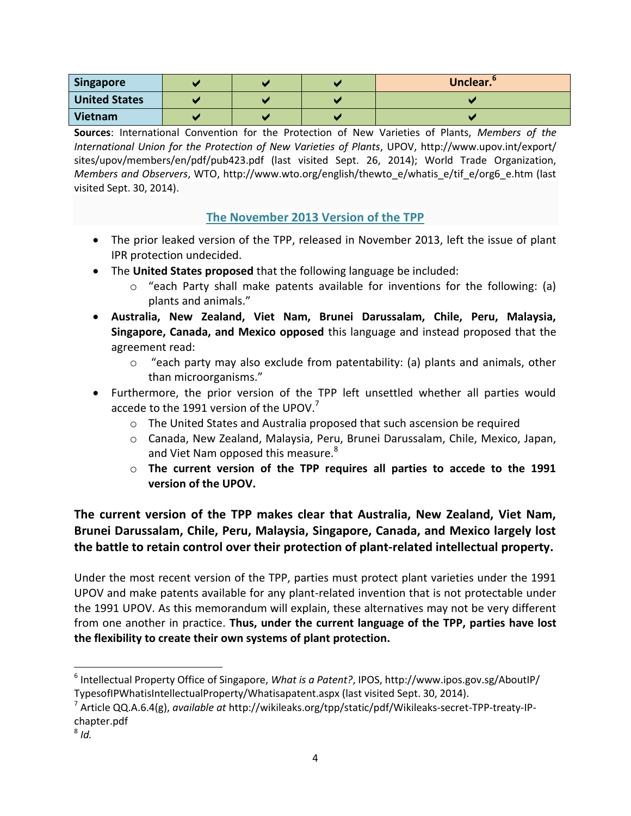| Singapore            |  | Unclear. |
|----------------------|--|----------|
| <b>United States</b> |  |          |
| Vietnam              |  |          |

**Sources**: International Convention for the Protection of New Varieties of Plants, *Members of the International Union for the Protection of New Varieties of Plants*, UPOV, http://www.upov.int/export/ sites/upov/members/en/pdf/pub423.pdf (last visited Sept. 26, 2014); World Trade Organization, *Members and Observers*, WTO, http://www.wto.org/english/thewto\_e/whatis\_e/tif\_e/org6\_e.htm (last visited Sept. 30, 2014).

## **The November 2013 Version of the TPP**

- The prior leaked version of the TPP, released in November 2013, left the issue of plant IPR protection undecided.
- The **United States proposed** that the following language be included:
	- $\circ$  "each Party shall make patents available for inventions for the following: (a) plants and animals."
- **Australia, New Zealand, Viet Nam, Brunei Darussalam, Chile, Peru, Malaysia, Singapore, Canada, and Mexico opposed** this language and instead proposed that the agreement read:
	- o "each party may also exclude from patentability: (a) plants and animals, other than microorganisms."
- Furthermore, the prior version of the TPP left unsettled whether all parties would accede to the 1991 version of the UPOV.<sup>7</sup>
	- o The United States and Australia proposed that such ascension be required
	- o Canada, New Zealand, Malaysia, Peru, Brunei Darussalam, Chile, Mexico, Japan, and Viet Nam opposed this measure.<sup>8</sup>
	- o **The current version of the TPP requires all parties to accede to the 1991 version of the UPOV.**

**The current version of the TPP makes clear that Australia, New Zealand, Viet Nam, Brunei Darussalam, Chile, Peru, Malaysia, Singapore, Canada, and Mexico largely lost the battle to retain control over their protection of plant-related intellectual property.**

Under the most recent version of the TPP, parties must protect plant varieties under the 1991 UPOV and make patents available for any plant-related invention that is not protectable under the 1991 UPOV. As this memorandum will explain, these alternatives may not be very different from one another in practice. **Thus, under the current language of the TPP, parties have lost the flexibility to create their own systems of plant protection.**

l

<sup>6</sup> Intellectual Property Office of Singapore, *What is a Patent?*, IPOS, http://www.ipos.gov.sg/AboutIP/ TypesofIPWhatisIntellectualProperty/Whatisapatent.aspx (last visited Sept. 30, 2014).

<sup>7</sup> Article QQ.A.6.4(g), *available at* http://wikileaks.org/tpp/static/pdf/Wikileaks-secret-TPP-treaty-IPchapter.pdf

<sup>8</sup> *Id.*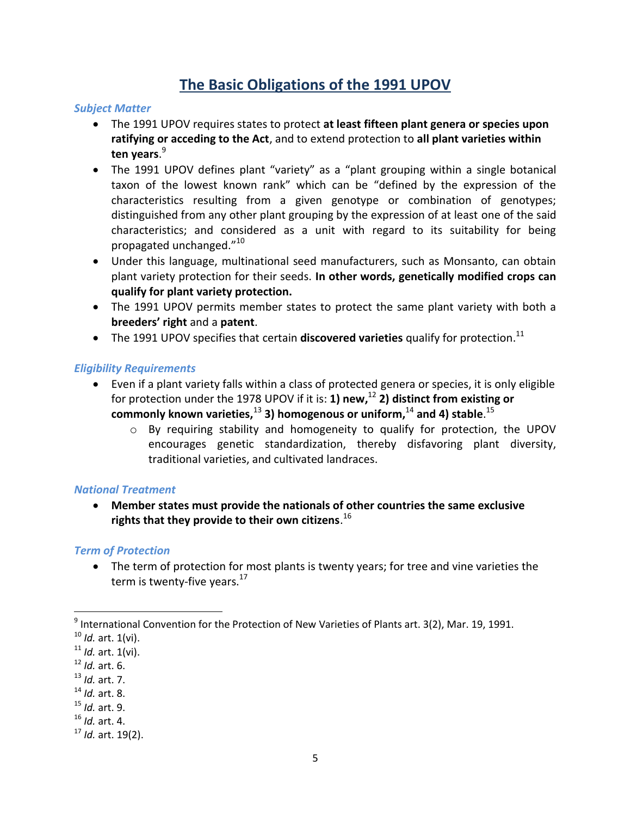## **The Basic Obligations of the 1991 UPOV**

#### *Subject Matter*

- The 1991 UPOV requires states to protect **at least fifteen plant genera or species upon ratifying or acceding to the Act**, and to extend protection to **all plant varieties within ten years**. 9
- The 1991 UPOV defines plant "variety" as a "plant grouping within a single botanical taxon of the lowest known rank" which can be "defined by the expression of the characteristics resulting from a given genotype or combination of genotypes; distinguished from any other plant grouping by the expression of at least one of the said characteristics; and considered as a unit with regard to its suitability for being propagated unchanged."<sup>10</sup>
- Under this language, multinational seed manufacturers, such as Monsanto, can obtain plant variety protection for their seeds. **In other words, genetically modified crops can qualify for plant variety protection.**
- The 1991 UPOV permits member states to protect the same plant variety with both a **breeders' right** and a **patent**.
- The 1991 UPOV specifies that certain **discovered varieties** qualify for protection. 11

### *Eligibility Requirements*

- Even if a plant variety falls within a class of protected genera or species, it is only eligible for protection under the 1978 UPOV if it is: **1) new,**<sup>12</sup> **2) distinct from existing or commonly known varieties,**<sup>13</sup> **3) homogenous or uniform,** <sup>14</sup> **and 4) stable**. 15
	- o By requiring stability and homogeneity to qualify for protection, the UPOV encourages genetic standardization, thereby disfavoring plant diversity, traditional varieties, and cultivated landraces.

### *National Treatment*

 **Member states must provide the nationals of other countries the same exclusive rights that they provide to their own citizens**. 16

### *Term of Protection*

• The term of protection for most plants is twenty years; for tree and vine varieties the term is twenty-five years.<sup>17</sup>

 $\overline{a}$ 

- <sup>13</sup> *Id.* art. 7.
- <sup>14</sup> *Id.* art. 8.
- <sup>15</sup> *Id.* art. 9.
- <sup>16</sup> *Id.* art. 4.

 $^9$  International Convention for the Protection of New Varieties of Plants art. 3(2), Mar. 19, 1991.

<sup>10</sup> *Id.* art. 1(vi).

<sup>11</sup> *Id.* art. 1(vi).

<sup>12</sup> *Id.* art. 6.

<sup>17</sup> *Id.* art. 19(2).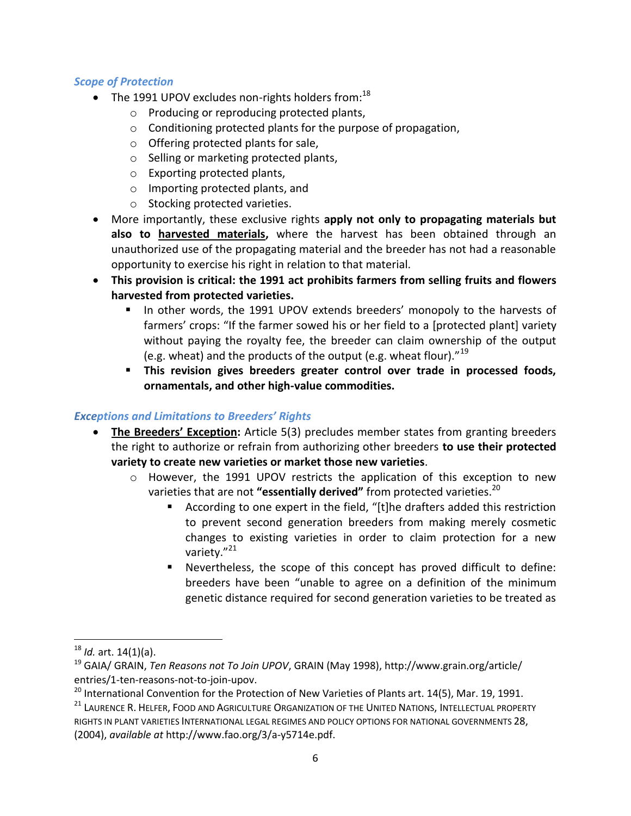#### *Scope of Protection*

- The 1991 UPOV excludes non-rights holders from: $^{18}$ 
	- o Producing or reproducing protected plants,
	- o Conditioning protected plants for the purpose of propagation,
	- o Offering protected plants for sale,
	- o Selling or marketing protected plants,
	- o Exporting protected plants,
	- o Importing protected plants, and
	- o Stocking protected varieties.
- More importantly, these exclusive rights **apply not only to propagating materials but also to harvested materials,** where the harvest has been obtained through an unauthorized use of the propagating material and the breeder has not had a reasonable opportunity to exercise his right in relation to that material.
- **This provision is critical: the 1991 act prohibits farmers from selling fruits and flowers harvested from protected varieties.** 
	- In other words, the 1991 UPOV extends breeders' monopoly to the harvests of farmers' crops: "If the farmer sowed his or her field to a [protected plant] variety without paying the royalty fee, the breeder can claim ownership of the output (e.g. wheat) and the products of the output (e.g. wheat flour). $"^{19}$
	- **This revision gives breeders greater control over trade in processed foods, ornamentals, and other high-value commodities.**

## *Exceptions and Limitations to Breeders' Rights*

- **The Breeders' Exception:** Article 5(3) precludes member states from granting breeders the right to authorize or refrain from authorizing other breeders **to use their protected variety to create new varieties or market those new varieties**.
	- $\circ$  However, the 1991 UPOV restricts the application of this exception to new varieties that are not "essentially derived" from protected varieties.<sup>20</sup>
		- According to one expert in the field, "[t]he drafters added this restriction to prevent second generation breeders from making merely cosmetic changes to existing varieties in order to claim protection for a new variety."<sup>21</sup>
		- Nevertheless, the scope of this concept has proved difficult to define: breeders have been "unable to agree on a definition of the minimum genetic distance required for second generation varieties to be treated as

<sup>18</sup> *Id.* art. 14(1)(a).

<sup>19</sup> GAIA/ GRAIN, *Ten Reasons not To Join UPOV*, GRAIN (May 1998), http://www.grain.org/article/ entries/1-ten-reasons-not-to-join-upov.

<sup>&</sup>lt;sup>20</sup> International Convention for the Protection of New Varieties of Plants art. 14(5), Mar. 19, 1991.

<sup>&</sup>lt;sup>21</sup> LAURENCE R. HELFER, FOOD AND AGRICULTURE ORGANIZATION OF THE UNITED NATIONS, INTELLECTUAL PROPERTY RIGHTS IN PLANT VARIETIES INTERNATIONAL LEGAL REGIMES AND POLICY OPTIONS FOR NATIONAL GOVERNMENTS 28, (2004), *available at* http://www.fao.org/3/a-y5714e.pdf.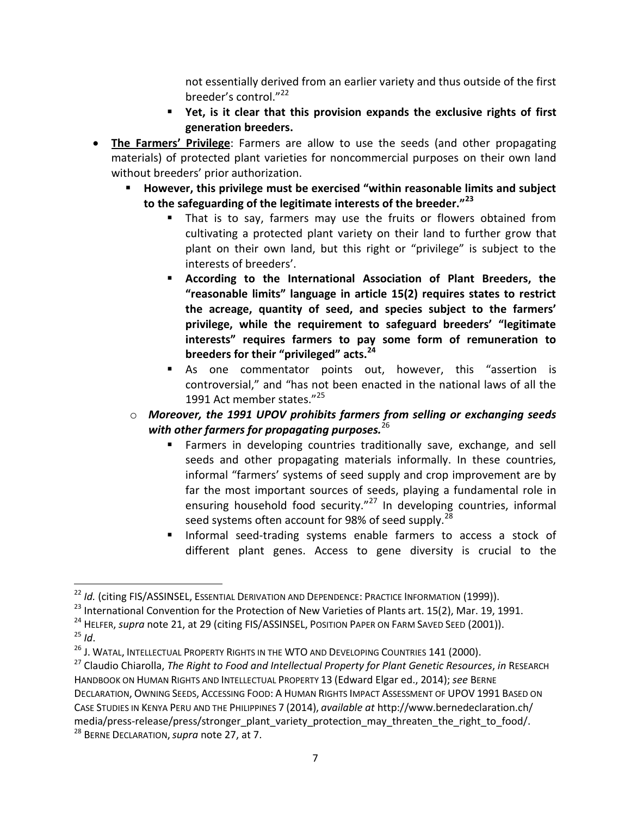not essentially derived from an earlier variety and thus outside of the first breeder's control."<sup>22</sup>

- **Yet, is it clear that this provision expands the exclusive rights of first generation breeders.**
- **The Farmers' Privilege**: Farmers are allow to use the seeds (and other propagating materials) of protected plant varieties for noncommercial purposes on their own land without breeders' prior authorization.
	- **However, this privilege must be exercised "within reasonable limits and subject to the safeguarding of the legitimate interests of the breeder."<sup>23</sup>**
		- That is to say, farmers may use the fruits or flowers obtained from cultivating a protected plant variety on their land to further grow that plant on their own land, but this right or "privilege" is subject to the interests of breeders'.
		- **According to the International Association of Plant Breeders, the "reasonable limits" language in article 15(2) requires states to restrict the acreage, quantity of seed, and species subject to the farmers' privilege, while the requirement to safeguard breeders' "legitimate interests" requires farmers to pay some form of remuneration to breeders for their "privileged" acts.<sup>24</sup>**
		- As one commentator points out, however, this "assertion is controversial," and "has not been enacted in the national laws of all the 1991 Act member states."25
	- o *Moreover, the 1991 UPOV prohibits farmers from selling or exchanging seeds with other farmers for propagating purposes.*<sup>26</sup>
		- Farmers in developing countries traditionally save, exchange, and sell seeds and other propagating materials informally. In these countries, informal "farmers' systems of seed supply and crop improvement are by far the most important sources of seeds, playing a fundamental role in ensuring household food security."<sup>27</sup> In developing countries, informal seed systems often account for 98% of seed supply.<sup>28</sup>
		- Informal seed-trading systems enable farmers to access a stock of different plant genes. Access to gene diversity is crucial to the

<sup>23</sup> International Convention for the Protection of New Varieties of Plants art. 15(2), Mar. 19, 1991.

 $^{25}$  *Id.* 

l

<sup>&</sup>lt;sup>22</sup> *Id.* (citing FIS/ASSINSEL, ESSENTIAL DERIVATION AND DEPENDENCE: PRACTICE INFORMATION (1999)).

<sup>&</sup>lt;sup>24</sup> HELFER, *supra* note 21, at 29 (citing FIS/ASSINSEL, POSITION PAPER ON FARM SAVED SEED (2001)).

<sup>&</sup>lt;sup>26</sup> J. WATAL, INTELLECTUAL PROPERTY RIGHTS IN THE WTO AND DEVELOPING COUNTRIES 141 (2000).

<sup>27</sup> Claudio Chiarolla, *The Right to Food and Intellectual Property for Plant Genetic Resources*, *in* RESEARCH HANDBOOK ON HUMAN RIGHTS AND INTELLECTUAL PROPERTY 13 (Edward Elgar ed., 2014); *see* BERNE DECLARATION, OWNING SEEDS, ACCESSING FOOD: A HUMAN RIGHTS IMPACT ASSESSMENT OF UPOV 1991 BASED ON CASE STUDIES IN KENYA PERU AND THE PHILIPPINES 7 (2014), *available at* http://www.bernedeclaration.ch/ media/press-release/press/stronger\_plant\_variety\_protection\_may\_threaten\_the\_right\_to\_food/. <sup>28</sup> BERNE DECLARATION,*supra* note 27, at 7.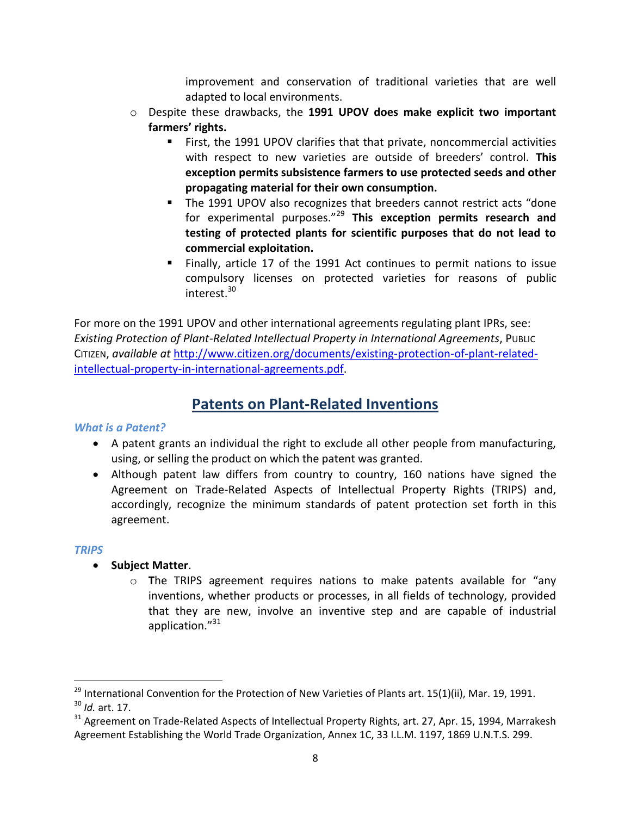improvement and conservation of traditional varieties that are well adapted to local environments.

- o Despite these drawbacks, the **1991 UPOV does make explicit two important farmers' rights.**
	- First, the 1991 UPOV clarifies that that private, noncommercial activities with respect to new varieties are outside of breeders' control. **This exception permits subsistence farmers to use protected seeds and other propagating material for their own consumption.**
	- The 1991 UPOV also recognizes that breeders cannot restrict acts "done for experimental purposes."<sup>29</sup> **This exception permits research and testing of protected plants for scientific purposes that do not lead to commercial exploitation.**
	- Finally, article 17 of the 1991 Act continues to permit nations to issue compulsory licenses on protected varieties for reasons of public interest.<sup>30</sup>

For more on the 1991 UPOV and other international agreements regulating plant IPRs, see: *Existing Protection of Plant-Related Intellectual Property in International Agreements*, PUBLIC CITIZEN, *available at* [http://www.citizen.org/documents/existing-protection-of-plant-related](http://www.citizen.org/documents/existing-protection-of-plant-related-intellectual-property-in-international-agreements.pdf)[intellectual-property-in-international-agreements.pdf.](http://www.citizen.org/documents/existing-protection-of-plant-related-intellectual-property-in-international-agreements.pdf)

## **Patents on Plant-Related Inventions**

### *What is a Patent?*

- A patent grants an individual the right to exclude all other people from manufacturing, using, or selling the product on which the patent was granted.
- Although patent law differs from country to country, 160 nations have signed the Agreement on Trade-Related Aspects of Intellectual Property Rights (TRIPS) and, accordingly, recognize the minimum standards of patent protection set forth in this agreement.

#### *TRIPS*

l

- **•** Subject Matter.
	- o **T**he TRIPS agreement requires nations to make patents available for "any inventions, whether products or processes, in all fields of technology, provided that they are new, involve an inventive step and are capable of industrial application."31

 $^{29}$  International Convention for the Protection of New Varieties of Plants art. 15(1)(ii), Mar. 19, 1991. <sup>30</sup> *Id.* art. 17.

 $31$  Agreement on Trade-Related Aspects of Intellectual Property Rights, art. 27, Apr. 15, 1994, Marrakesh Agreement Establishing the World Trade Organization, Annex 1C, 33 I.L.M. 1197, 1869 U.N.T.S. 299.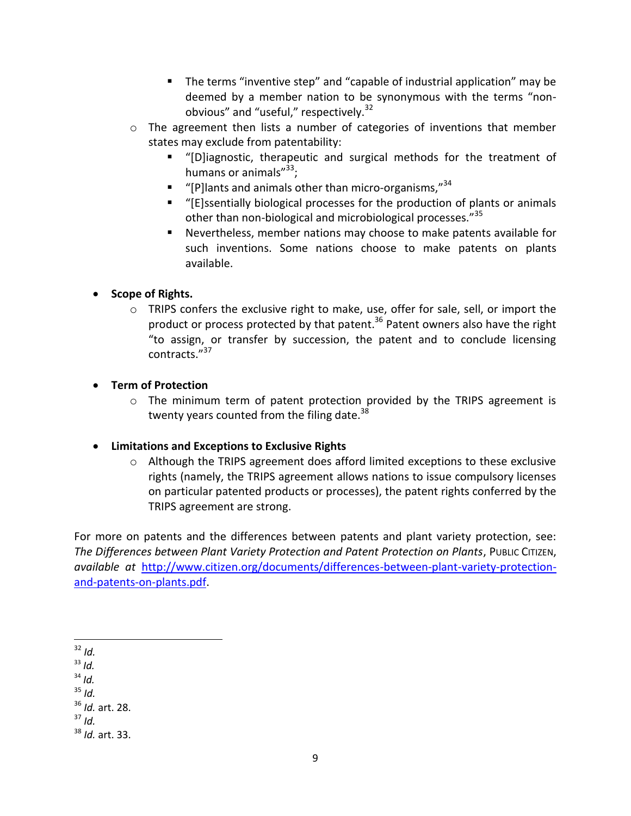- The terms "inventive step" and "capable of industrial application" may be deemed by a member nation to be synonymous with the terms "nonobvious" and "useful," respectively.<sup>32</sup>
- o The agreement then lists a number of categories of inventions that member states may exclude from patentability:
	- "[D]iagnostic, therapeutic and surgical methods for the treatment of humans or animals"<sup>33</sup>;
	- $\blacksquare$  "[P] lants and animals other than micro-organisms," $^{34}$
	- "[E]ssentially biological processes for the production of plants or animals other than non-biological and microbiological processes."<sup>35</sup>
	- Nevertheless, member nations may choose to make patents available for such inventions. Some nations choose to make patents on plants available.

### **•** Scope of Rights.

o TRIPS confers the exclusive right to make, use, offer for sale, sell, or import the product or process protected by that patent.<sup>36</sup> Patent owners also have the right "to assign, or transfer by succession, the patent and to conclude licensing contracts."<sup>37</sup>

### **Term of Protection**

o The minimum term of patent protection provided by the TRIPS agreement is twenty years counted from the filing date.<sup>38</sup>

### **Limitations and Exceptions to Exclusive Rights**

 $\circ$  Although the TRIPS agreement does afford limited exceptions to these exclusive rights (namely, the TRIPS agreement allows nations to issue compulsory licenses on particular patented products or processes), the patent rights conferred by the TRIPS agreement are strong.

For more on patents and the differences between patents and plant variety protection, see: *The Differences between Plant Variety Protection and Patent Protection on Plants*, PUBLIC CITIZEN, *available at* [http://www.citizen.org/documents/differences-between-plant-variety-protection](http://www.citizen.org/documents/differences-between-plant-variety-protection-and-patents-on-plants.pdf)[and-patents-on-plants.pdf.](http://www.citizen.org/documents/differences-between-plant-variety-protection-and-patents-on-plants.pdf)

 $34$  *Id.* 

<sup>35</sup> *Id.*

 $\overline{\phantom{a}}$ <sup>32</sup> *Id.*

 $33$  *Id.* 

<sup>36</sup> *Id.* art. 28.

<sup>37</sup> *Id.* 

<sup>38</sup> *Id.* art. 33.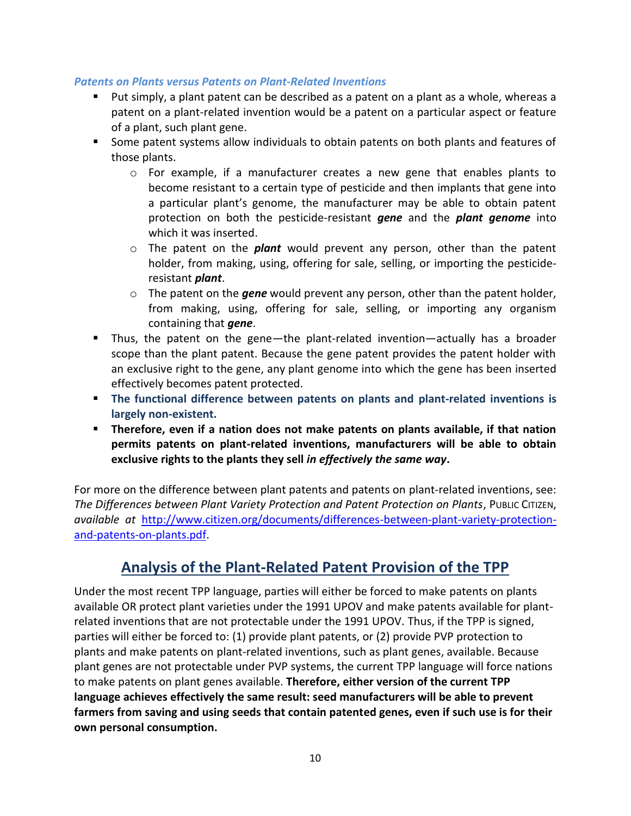#### *Patents on Plants versus Patents on Plant-Related Inventions*

- Put simply, a plant patent can be described as a patent on a plant as a whole, whereas a patent on a plant-related invention would be a patent on a particular aspect or feature of a plant, such plant gene.
- Some patent systems allow individuals to obtain patents on both plants and features of those plants.
	- $\circ$  For example, if a manufacturer creates a new gene that enables plants to become resistant to a certain type of pesticide and then implants that gene into a particular plant's genome, the manufacturer may be able to obtain patent protection on both the pesticide-resistant *gene* and the *plant genome* into which it was inserted.
	- o The patent on the *plant* would prevent any person, other than the patent holder, from making, using, offering for sale, selling, or importing the pesticideresistant *plant*.
	- o The patent on the *gene* would prevent any person, other than the patent holder, from making, using, offering for sale, selling, or importing any organism containing that *gene*.
- Thus, the patent on the gene—the plant-related invention—actually has a broader scope than the plant patent. Because the gene patent provides the patent holder with an exclusive right to the gene, any plant genome into which the gene has been inserted effectively becomes patent protected.
- **The functional difference between patents on plants and plant-related inventions is largely non-existent.**
- **Therefore, even if a nation does not make patents on plants available, if that nation permits patents on plant-related inventions, manufacturers will be able to obtain exclusive rights to the plants they sell** *in effectively the same way***.**

For more on the difference between plant patents and patents on plant-related inventions, see: *The Differences between Plant Variety Protection and Patent Protection on Plants*, PUBLIC CITIZEN, *available at* [http://www.citizen.org/documents/differences-between-plant-variety-protection](http://www.citizen.org/documents/differences-between-plant-variety-protection-and-patents-on-plants.pdf)[and-patents-on-plants.pdf.](http://www.citizen.org/documents/differences-between-plant-variety-protection-and-patents-on-plants.pdf)

## **Analysis of the Plant-Related Patent Provision of the TPP**

Under the most recent TPP language, parties will either be forced to make patents on plants available OR protect plant varieties under the 1991 UPOV and make patents available for plantrelated inventions that are not protectable under the 1991 UPOV. Thus, if the TPP is signed, parties will either be forced to: (1) provide plant patents, or (2) provide PVP protection to plants and make patents on plant-related inventions, such as plant genes, available. Because plant genes are not protectable under PVP systems, the current TPP language will force nations to make patents on plant genes available. **Therefore, either version of the current TPP language achieves effectively the same result: seed manufacturers will be able to prevent farmers from saving and using seeds that contain patented genes, even if such use is for their own personal consumption.**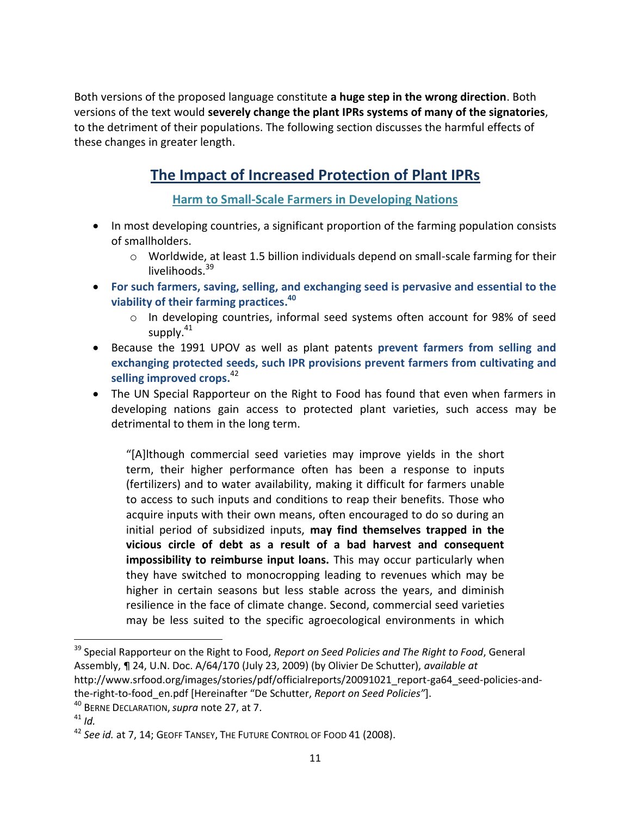Both versions of the proposed language constitute **a huge step in the wrong direction**. Both versions of the text would **severely change the plant IPRs systems of many of the signatories**, to the detriment of their populations. The following section discusses the harmful effects of these changes in greater length.

# **The Impact of Increased Protection of Plant IPRs**

**Harm to Small-Scale Farmers in Developing Nations**

- In most developing countries, a significant proportion of the farming population consists of smallholders.
	- $\circ$  Worldwide, at least 1.5 billion individuals depend on small-scale farming for their livelihoods.<sup>39</sup>
- **For such farmers, saving, selling, and exchanging seed is pervasive and essential to the viability of their farming practices. 40**
	- o In developing countries, informal seed systems often account for 98% of seed supply.<sup>41</sup>
- Because the 1991 UPOV as well as plant patents **prevent farmers from selling and exchanging protected seeds, such IPR provisions prevent farmers from cultivating and selling improved crops.**<sup>42</sup>
- The UN Special Rapporteur on the Right to Food has found that even when farmers in developing nations gain access to protected plant varieties, such access may be detrimental to them in the long term.

"[A]lthough commercial seed varieties may improve yields in the short term, their higher performance often has been a response to inputs (fertilizers) and to water availability, making it difficult for farmers unable to access to such inputs and conditions to reap their benefits. Those who acquire inputs with their own means, often encouraged to do so during an initial period of subsidized inputs, **may find themselves trapped in the vicious circle of debt as a result of a bad harvest and consequent impossibility to reimburse input loans.** This may occur particularly when they have switched to monocropping leading to revenues which may be higher in certain seasons but less stable across the years, and diminish resilience in the face of climate change. Second, commercial seed varieties may be less suited to the specific agroecological environments in which

<sup>39</sup> Special Rapporteur on the Right to Food, *Report on Seed Policies and The Right to Food*, General Assembly, ¶ 24, U.N. Doc. A/64/170 (July 23, 2009) (by Olivier De Schutter), *available at* http://www.srfood.org/images/stories/pdf/officialreports/20091021\_report-ga64\_seed-policies-andthe-right-to-food\_en.pdf [Hereinafter "De Schutter, *Report on Seed Policies"*].

<sup>40</sup> BERNE DECLARATION,*supra* note 27, at 7.

<sup>41</sup> *Id.*

<sup>&</sup>lt;sup>42</sup> See id. at 7, 14; GEOFF TANSEY, THE FUTURE CONTROL OF FOOD 41 (2008).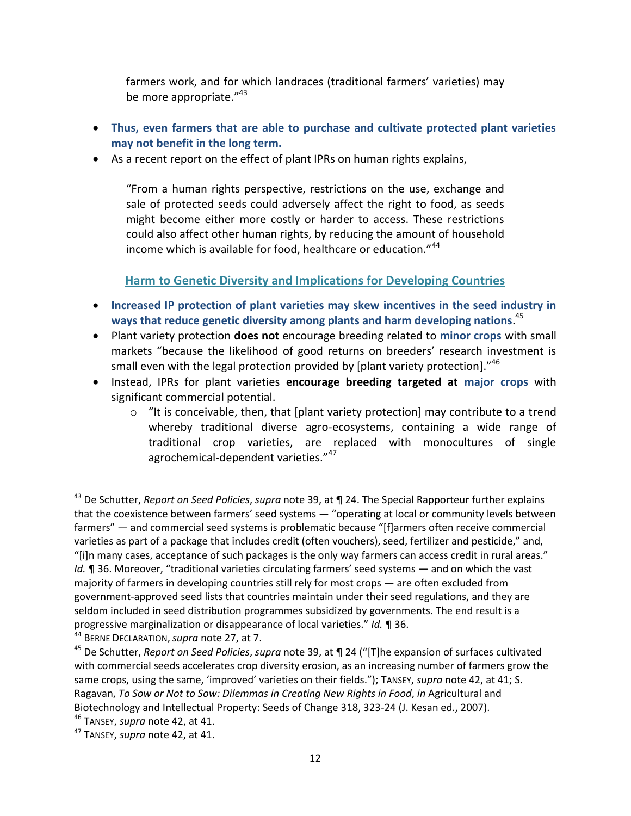farmers work, and for which landraces (traditional farmers' varieties) may be more appropriate."<sup>43</sup>

- **Thus, even farmers that are able to purchase and cultivate protected plant varieties may not benefit in the long term.**
- As a recent report on the effect of plant IPRs on human rights explains,

"From a human rights perspective, restrictions on the use, exchange and sale of protected seeds could adversely affect the right to food, as seeds might become either more costly or harder to access. These restrictions could also affect other human rights, by reducing the amount of household income which is available for food, healthcare or education."<sup>44</sup>

## **Harm to Genetic Diversity and Implications for Developing Countries**

- **Increased IP protection of plant varieties may skew incentives in the seed industry in ways that reduce genetic diversity among plants and harm developing nations**. 45
- Plant variety protection **does not** encourage breeding related to **minor crops** with small markets "because the likelihood of good returns on breeders' research investment is small even with the legal protection provided by [plant variety protection]."<sup>46</sup>
- Instead, IPRs for plant varieties **encourage breeding targeted at major crops** with significant commercial potential.
	- o "It is conceivable, then, that [plant variety protection] may contribute to a trend whereby traditional diverse agro-ecosystems, containing a wide range of traditional crop varieties, are replaced with monocultures of single agrochemical-dependent varieties."<sup>47</sup>

<sup>43</sup> De Schutter, *Report on Seed Policies*, *supra* note 39, at ¶ 24. The Special Rapporteur further explains that the coexistence between farmers' seed systems — "operating at local or community levels between farmers" — and commercial seed systems is problematic because "[f]armers often receive commercial varieties as part of a package that includes credit (often vouchers), seed, fertilizer and pesticide," and, "[i]n many cases, acceptance of such packages is the only way farmers can access credit in rural areas." *Id.* **¶** 36. Moreover, "traditional varieties circulating farmers' seed systems — and on which the vast majority of farmers in developing countries still rely for most crops — are often excluded from government-approved seed lists that countries maintain under their seed regulations, and they are seldom included in seed distribution programmes subsidized by governments. The end result is a progressive marginalization or disappearance of local varieties." *Id.* ¶ 36.

<sup>44</sup> BERNE DECLARATION,*supra* note 27, at 7.

<sup>45</sup> De Schutter, *Report on Seed Policies*, *supra* note 39, at ¶ 24 ("[T]he expansion of surfaces cultivated with commercial seeds accelerates crop diversity erosion, as an increasing number of farmers grow the same crops, using the same, 'improved' varieties on their fields."); TANSEY, *supra* note 42, at 41; S. Ragavan, *To Sow or Not to Sow: Dilemmas in Creating New Rights in Food*, *in* Agricultural and Biotechnology and Intellectual Property: Seeds of Change 318, 323-24 (J. Kesan ed., 2007).

<sup>46</sup> TANSEY, *supra* note 42, at 41.

<sup>47</sup> TANSEY, *supra* note 42, at 41.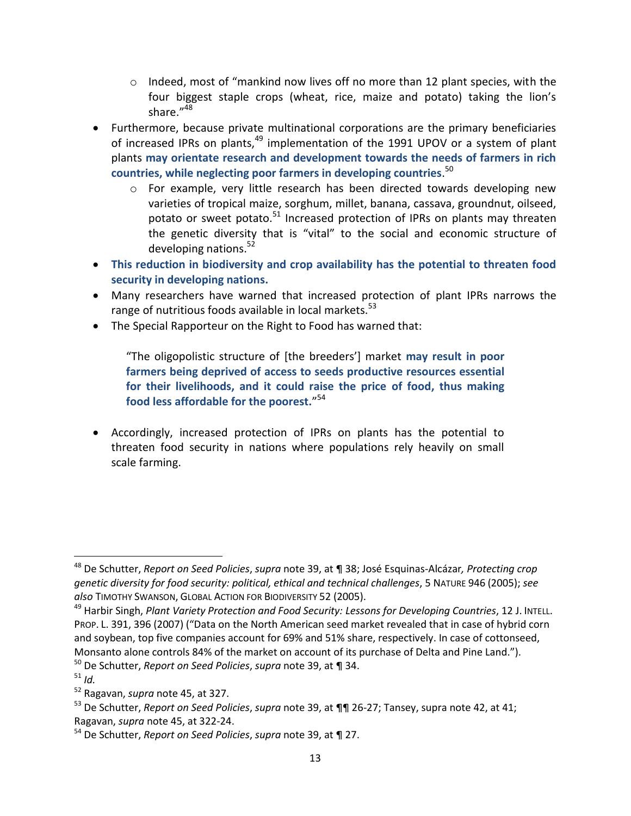- $\circ$  Indeed, most of "mankind now lives off no more than 12 plant species, with the four biggest staple crops (wheat, rice, maize and potato) taking the lion's share."<sup>48</sup>
- Furthermore, because private multinational corporations are the primary beneficiaries of increased IPRs on plants,<sup>49</sup> implementation of the 1991 UPOV or a system of plant plants **may orientate research and development towards the needs of farmers in rich countries, while neglecting poor farmers in developing countries**. 50
	- $\circ$  For example, very little research has been directed towards developing new varieties of tropical maize, sorghum, millet, banana, cassava, groundnut, oilseed, potato or sweet potato.<sup>51</sup> Increased protection of IPRs on plants may threaten the genetic diversity that is "vital" to the social and economic structure of developing nations.<sup>52</sup>
- **This reduction in biodiversity and crop availability has the potential to threaten food security in developing nations.**
- Many researchers have warned that increased protection of plant IPRs narrows the range of nutritious foods available in local markets.<sup>53</sup>
- The Special Rapporteur on the Right to Food has warned that:

"The oligopolistic structure of [the breeders'] market **may result in poor farmers being deprived of access to seeds productive resources essential for their livelihoods, and it could raise the price of food, thus making food less affordable for the poorest.**" 54

 Accordingly, increased protection of IPRs on plants has the potential to threaten food security in nations where populations rely heavily on small scale farming.

<sup>48</sup> De Schutter, *Report on Seed Policies*, *supra* note 39, at ¶ 38; José Esquinas-Alcázar*, Protecting crop genetic diversity for food security: political, ethical and technical challenges*, 5 NATURE 946 (2005); *see also* TIMOTHY SWANSON, GLOBAL ACTION FOR BIODIVERSITY 52 (2005).

<sup>49</sup> Harbir Singh, *Plant Variety Protection and Food Security: Lessons for Developing Countries*, 12 J. INTELL. PROP. L. 391, 396 (2007) ("Data on the North American seed market revealed that in case of hybrid corn and soybean, top five companies account for 69% and 51% share, respectively. In case of cottonseed, Monsanto alone controls 84% of the market on account of its purchase of Delta and Pine Land.").

<sup>50</sup> De Schutter, *Report on Seed Policies*, *supra* note 39, at ¶ 34.  $^{51}$  *Id.* 

<sup>52</sup> Ragavan, *supra* note 45, at 327.

<sup>53</sup> De Schutter, *Report on Seed Policies*, *supra* note 39, at ¶¶ 26-27; Tansey, supra note 42, at 41; Ragavan, *supra* note 45, at 322-24.

<sup>54</sup> De Schutter, *Report on Seed Policies*, *supra* note 39, at ¶ 27.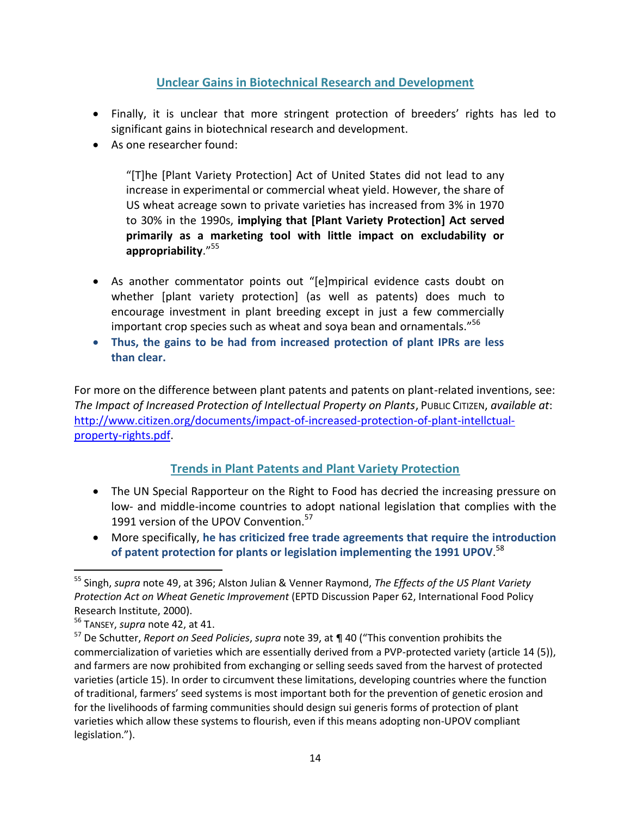### **Unclear Gains in Biotechnical Research and Development**

- Finally, it is unclear that more stringent protection of breeders' rights has led to significant gains in biotechnical research and development.
- As one researcher found:

"[T]he [Plant Variety Protection] Act of United States did not lead to any increase in experimental or commercial wheat yield. However, the share of US wheat acreage sown to private varieties has increased from 3% in 1970 to 30% in the 1990s, **implying that [Plant Variety Protection] Act served primarily as a marketing tool with little impact on excludability or appropriability**."<sup>55</sup>

- As another commentator points out "[e]mpirical evidence casts doubt on whether [plant variety protection] (as well as patents) does much to encourage investment in plant breeding except in just a few commercially important crop species such as wheat and soya bean and ornamentals."<sup>56</sup>
- **Thus, the gains to be had from increased protection of plant IPRs are less than clear.**

For more on the difference between plant patents and patents on plant-related inventions, see: *The Impact of Increased Protection of Intellectual Property on Plants*, PUBLIC CITIZEN, *available at*: [http://www.citizen.org/documents/impact-of-increased-protection-of-plant-intellctual](http://www.citizen.org/documents/impact-of-increased-protection-of-plant-intellctual-property-rights.pdf)[property-rights.pdf.](http://www.citizen.org/documents/impact-of-increased-protection-of-plant-intellctual-property-rights.pdf)

## **Trends in Plant Patents and Plant Variety Protection**

- The UN Special Rapporteur on the Right to Food has decried the increasing pressure on low- and middle-income countries to adopt national legislation that complies with the 1991 version of the UPOV Convention.<sup>57</sup>
- More specifically, **he has criticized free trade agreements that require the introduction of patent protection for plants or legislation implementing the 1991 UPOV**. 58

<sup>55</sup> Singh, *supra* note 49, at 396; Alston Julian & Venner Raymond, *The Effects of the US Plant Variety Protection Act on Wheat Genetic Improvement* (EPTD Discussion Paper 62, International Food Policy Research Institute, 2000).

<sup>56</sup> TANSEY, *supra* note 42, at 41.

<sup>57</sup> De Schutter, *Report on Seed Policies*, *supra* note 39, at ¶ 40 ("This convention prohibits the commercialization of varieties which are essentially derived from a PVP-protected variety (article 14 (5)), and farmers are now prohibited from exchanging or selling seeds saved from the harvest of protected varieties (article 15). In order to circumvent these limitations, developing countries where the function of traditional, farmers' seed systems is most important both for the prevention of genetic erosion and for the livelihoods of farming communities should design sui generis forms of protection of plant varieties which allow these systems to flourish, even if this means adopting non-UPOV compliant legislation.").